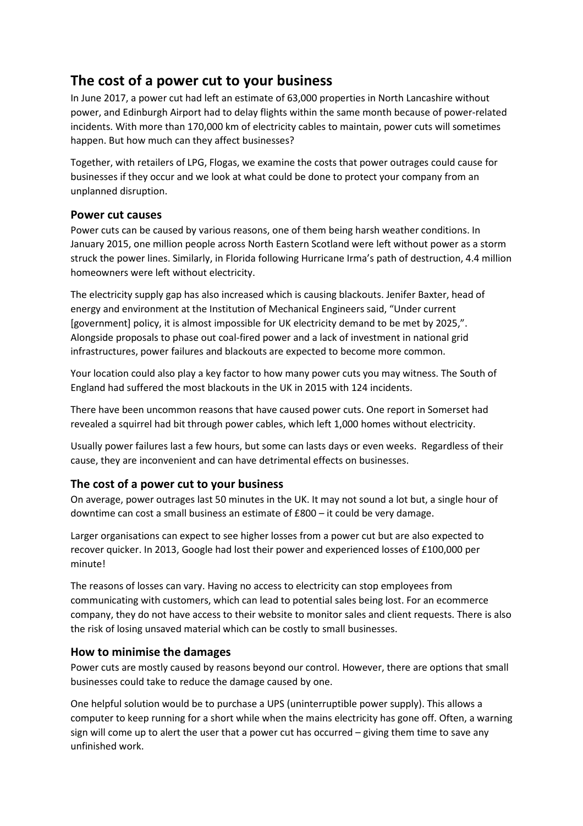## The cost of a power cut to your business

In June 2017, a power cut had left an estimate of 63,000 properties in North Lancashire without power, and Edinburgh Airport had to delay flights within the same month because of power-related incidents. With more than 170,000 km of electricity cables to maintain, power cuts will sometimes happen. But how much can they affect businesses?

Together, with retailers of LPG, Flogas, we examine the costs that power outrages could cause for businesses if they occur and we look at what could be done to protect your company from an unplanned disruption.

## Power cut causes

Power cuts can be caused by various reasons, one of them being harsh weather conditions. In January 2015, one million people across North Eastern Scotland were left without power as a storm struck the power lines. Similarly, in Florida following Hurricane Irma's path of destruction, 4.4 million homeowners were left without electricity.

The electricity supply gap has also increased which is causing blackouts. Jenifer Baxter, head of energy and environment at the Institution of Mechanical Engineers said, "Under current [government] policy, it is almost impossible for UK electricity demand to be met by 2025,". Alongside proposals to phase out coal-fired power and a lack of investment in national grid infrastructures, power failures and blackouts are expected to become more common.

Your location could also play a key factor to how many power cuts you may witness. The South of England had suffered the most blackouts in the UK in 2015 with 124 incidents.

There have been uncommon reasons that have caused power cuts. One report in Somerset had revealed a squirrel had bit through power cables, which left 1,000 homes without electricity.

Usually power failures last a few hours, but some can lasts days or even weeks. Regardless of their cause, they are inconvenient and can have detrimental effects on businesses.

## The cost of a power cut to your business

On average, power outrages last 50 minutes in the UK. It may not sound a lot but, a single hour of downtime can cost a small business an estimate of £800 – it could be very damage.

Larger organisations can expect to see higher losses from a power cut but are also expected to recover quicker. In 2013, Google had lost their power and experienced losses of £100,000 per minute!

The reasons of losses can vary. Having no access to electricity can stop employees from communicating with customers, which can lead to potential sales being lost. For an ecommerce company, they do not have access to their website to monitor sales and client requests. There is also the risk of losing unsaved material which can be costly to small businesses.

## How to minimise the damages

Power cuts are mostly caused by reasons beyond our control. However, there are options that small businesses could take to reduce the damage caused by one.

One helpful solution would be to purchase a UPS (uninterruptible power supply). This allows a computer to keep running for a short while when the mains electricity has gone off. Often, a warning sign will come up to alert the user that a power cut has occurred – giving them time to save any unfinished work.